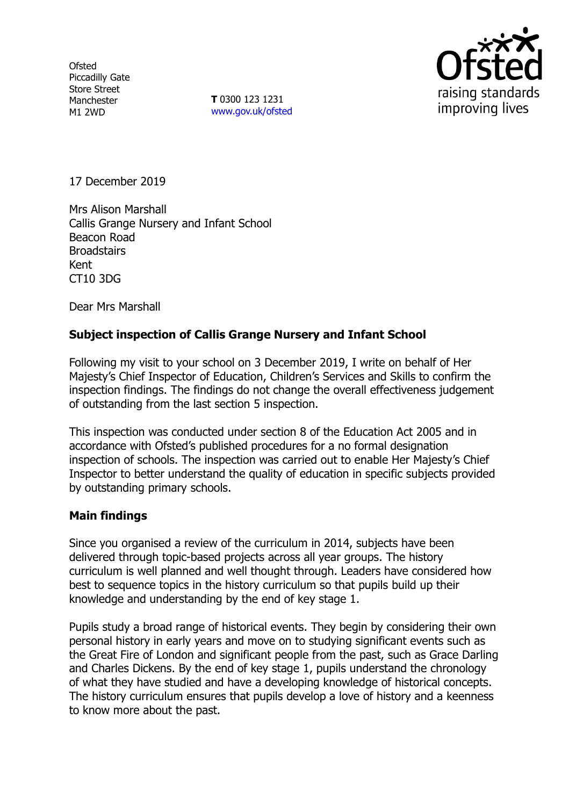**Ofsted** Piccadilly Gate Store Street Manchester M1 2WD

**T** 0300 123 1231 www.gov.uk/ofsted



17 December 2019

Mrs Alison Marshall Callis Grange Nursery and Infant School Beacon Road **Broadstairs** Kent CT10 3DG

Dear Mrs Marshall

# **Subject inspection of Callis Grange Nursery and Infant School**

Following my visit to your school on 3 December 2019, I write on behalf of Her Majesty's Chief Inspector of Education, Children's Services and Skills to confirm the inspection findings. The findings do not change the overall effectiveness judgement of outstanding from the last section 5 inspection.

This inspection was conducted under section 8 of the Education Act 2005 and in accordance with Ofsted's published procedures for a no formal designation inspection of schools. The inspection was carried out to enable Her Majesty's Chief Inspector to better understand the quality of education in specific subjects provided by outstanding primary schools.

### **Main findings**

Since you organised a review of the curriculum in 2014, subjects have been delivered through topic-based projects across all year groups. The history curriculum is well planned and well thought through. Leaders have considered how best to sequence topics in the history curriculum so that pupils build up their knowledge and understanding by the end of key stage 1.

Pupils study a broad range of historical events. They begin by considering their own personal history in early years and move on to studying significant events such as the Great Fire of London and significant people from the past, such as Grace Darling and Charles Dickens. By the end of key stage 1, pupils understand the chronology of what they have studied and have a developing knowledge of historical concepts. The history curriculum ensures that pupils develop a love of history and a keenness to know more about the past.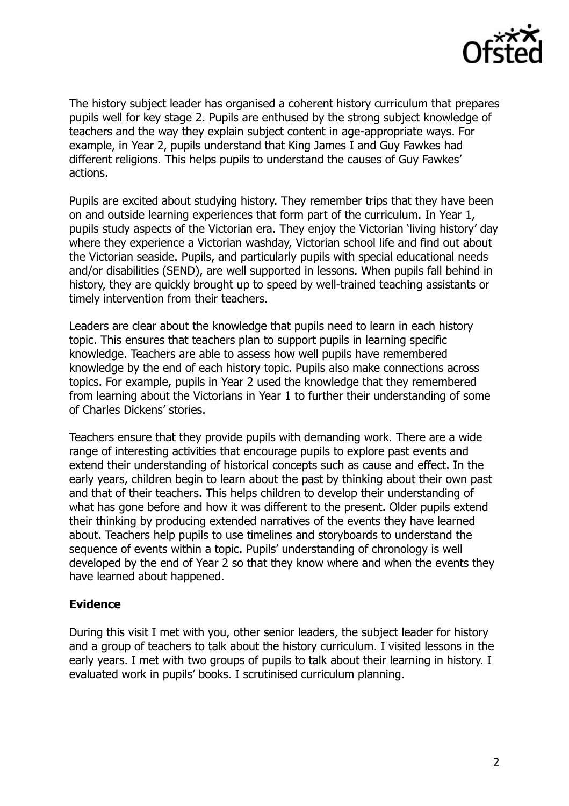

The history subject leader has organised a coherent history curriculum that prepares pupils well for key stage 2. Pupils are enthused by the strong subject knowledge of teachers and the way they explain subject content in age-appropriate ways. For example, in Year 2, pupils understand that King James I and Guy Fawkes had different religions. This helps pupils to understand the causes of Guy Fawkes' actions.

Pupils are excited about studying history. They remember trips that they have been on and outside learning experiences that form part of the curriculum. In Year 1, pupils study aspects of the Victorian era. They enjoy the Victorian 'living history' day where they experience a Victorian washday, Victorian school life and find out about the Victorian seaside. Pupils, and particularly pupils with special educational needs and/or disabilities (SEND), are well supported in lessons. When pupils fall behind in history, they are quickly brought up to speed by well-trained teaching assistants or timely intervention from their teachers.

Leaders are clear about the knowledge that pupils need to learn in each history topic. This ensures that teachers plan to support pupils in learning specific knowledge. Teachers are able to assess how well pupils have remembered knowledge by the end of each history topic. Pupils also make connections across topics. For example, pupils in Year 2 used the knowledge that they remembered from learning about the Victorians in Year 1 to further their understanding of some of Charles Dickens' stories.

Teachers ensure that they provide pupils with demanding work. There are a wide range of interesting activities that encourage pupils to explore past events and extend their understanding of historical concepts such as cause and effect. In the early years, children begin to learn about the past by thinking about their own past and that of their teachers. This helps children to develop their understanding of what has gone before and how it was different to the present. Older pupils extend their thinking by producing extended narratives of the events they have learned about. Teachers help pupils to use timelines and storyboards to understand the sequence of events within a topic. Pupils' understanding of chronology is well developed by the end of Year 2 so that they know where and when the events they have learned about happened.

### **Evidence**

During this visit I met with you, other senior leaders, the subject leader for history and a group of teachers to talk about the history curriculum. I visited lessons in the early years. I met with two groups of pupils to talk about their learning in history. I evaluated work in pupils' books. I scrutinised curriculum planning.